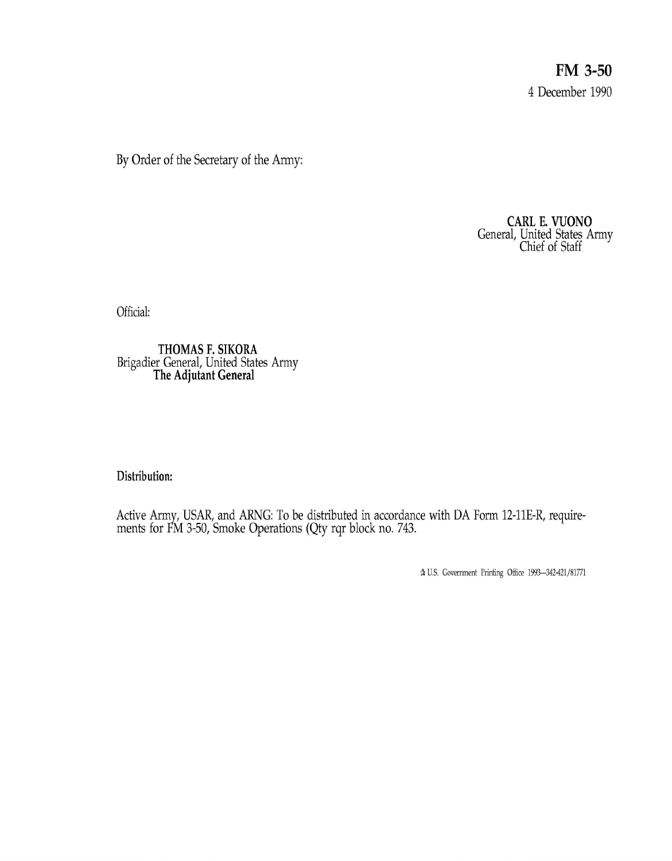**FM 3-50** 4 December 1990

By Order of the Secretary of the Army:

**CARL E. VUONO** General, United States Army Chief of Staff

Official:

**THOMAS F. SIKORA** Brigadier General, United States Army **The Adjutant General**

**Distribution:**

Active Army, USAR, and ARNG: To be distributed in accordance with DA Form 12-11E-R,requirements for FM 3-50, Smoke Operations (Qty rqr block no. 743.

\* u.s. Government Printing Office 1993-342-421/81771